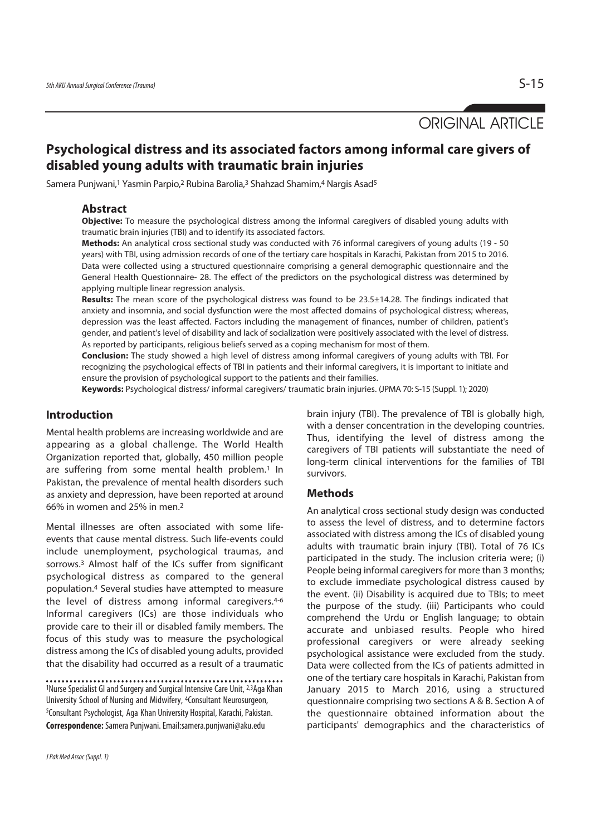ORIGINAL ARTICLE

# **Psychological distress and its associated factors among informal care givers of disabled young adults with traumatic brain injuries**

Samera Punjwani,1 Yasmin Parpio,2 Rubina Barolia,3 Shahzad Shamim,4 Nargis Asad5

#### **Abstract**

**Objective:** To measure the psychological distress among the informal caregivers of disabled young adults with traumatic brain injuries (TBI) and to identify its associated factors.

**Methods:** An analytical cross sectional study was conducted with 76 informal caregivers of young adults (19 - 50 years) with TBI, using admission records of one of the tertiary care hospitals in Karachi, Pakistan from 2015 to 2016. Data were collected using a structured questionnaire comprising a general demographic questionnaire and the General Health Questionnaire- 28. The effect of the predictors on the psychological distress was determined by applying multiple linear regression analysis.

**Results:** The mean score of the psychological distress was found to be 23.5±14.28. The findings indicated that anxiety and insomnia, and social dysfunction were the most affected domains of psychological distress; whereas, depression was the least affected. Factors including the management of finances, number of children, patient's gender, and patient's level of disability and lack of socialization were positively associated with the level of distress. As reported by participants, religious beliefs served as a coping mechanism for most of them.

**Conclusion:** The study showed a high level of distress among informal caregivers of young adults with TBI. For recognizing the psychological effects of TBI in patients and their informal caregivers, it is important to initiate and ensure the provision of psychological support to the patients and their families.

**Keywords:** Psychological distress/ informal caregivers/ traumatic brain injuries. (JPMA 70: S-15 (Suppl. 1); 2020)

# **Introduction**

Mental health problems are increasing worldwide and are appearing as a global challenge. The World Health Organization reported that, globally, 450 million people are suffering from some mental health problem.<sup>1</sup> In Pakistan, the prevalence of mental health disorders such as anxiety and depression, have been reported at around 66% in women and 25% in men.2

Mental illnesses are often associated with some lifeevents that cause mental distress. Such life-events could include unemployment, psychological traumas, and sorrows.3 Almost half of the ICs suffer from significant psychological distress as compared to the general population.4 Several studies have attempted to measure the level of distress among informal caregivers.<sup>4-6</sup> Informal caregivers (ICs) are those individuals who provide care to their ill or disabled family members. The focus of this study was to measure the psychological distress among the ICs of disabled young adults, provided that the disability had occurred as a result of a traumatic

<sup>1</sup>Nurse Specialist GI and Surgery and Surgical Intensive Care Unit, 2,3Aga Khan University School of Nursing and Midwifery, 4Consultant Neurosurgeon, 5 Consultant Psychologist, Aga Khan University Hospital, Karachi, Pakistan. **Correspondence:**Samera Punjwani. Email:samera.punjwani@aku.edu

brain injury (TBI). The prevalence of TBI is globally high, with a denser concentration in the developing countries. Thus, identifying the level of distress among the caregivers of TBI patients will substantiate the need of long-term clinical interventions for the families of TBI survivors.

#### **Methods**

An analytical cross sectional study design was conducted to assess the level of distress, and to determine factors associated with distress among the ICs of disabled young adults with traumatic brain injury (TBI). Total of 76 ICs participated in the study. The inclusion criteria were; (i) People being informal caregivers for more than 3 months; to exclude immediate psychological distress caused by the event. (ii) Disability is acquired due to TBIs; to meet the purpose of the study. (iii) Participants who could comprehend the Urdu or English language; to obtain accurate and unbiased results. People who hired professional caregivers or were already seeking psychological assistance were excluded from the study. Data were collected from the ICs of patients admitted in one of the tertiary care hospitals in Karachi, Pakistan from January 2015 to March 2016, using a structured questionnaire comprising two sections A & B. Section A of the questionnaire obtained information about the participants' demographics and the characteristics of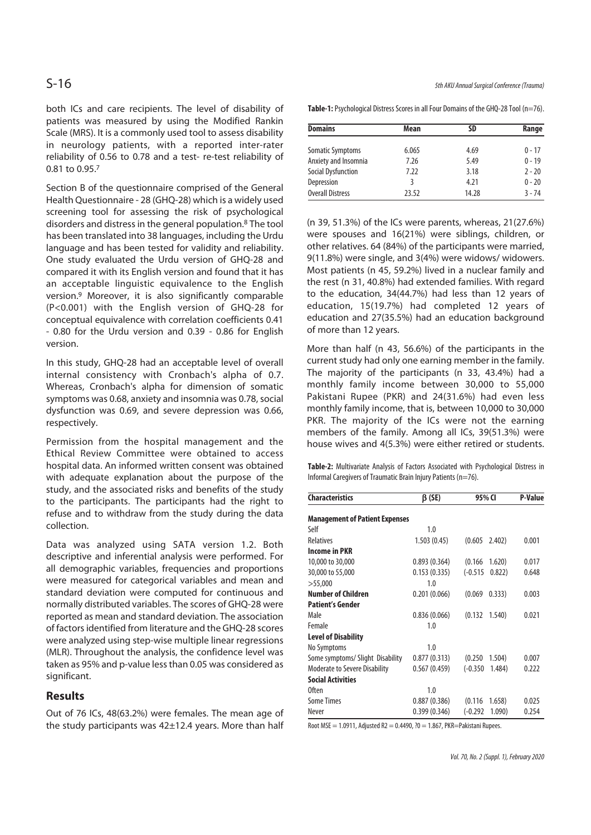both ICs and care recipients. The level of disability of patients was measured by using the Modified Rankin Scale (MRS). It is a commonly used tool to assess disability in neurology patients, with a reported inter-rater reliability of 0.56 to 0.78 and a test- re-test reliability of 0.81 to 0.95.7

Section B of the questionnaire comprised of the General Health Questionnaire - 28 (GHQ-28) which is a widely used screening tool for assessing the risk of psychological disorders and distress in the general population.8 The tool has been translated into 38 languages, including the Urdu language and has been tested for validity and reliability. One study evaluated the Urdu version of GHQ-28 and compared it with its English version and found that it has an acceptable linguistic equivalence to the English version.9 Moreover, it is also significantly comparable (P<0.001) with the English version of GHQ-28 for conceptual equivalence with correlation coefficients 0.41 - 0.80 for the Urdu version and 0.39 - 0.86 for English version.

In this study, GHQ-28 had an acceptable level of overall internal consistency with Cronbach's alpha of 0.7. Whereas, Cronbach's alpha for dimension of somatic symptoms was 0.68, anxiety and insomnia was 0.78, social dysfunction was 0.69, and severe depression was 0.66, respectively.

Permission from the hospital management and the Ethical Review Committee were obtained to access hospital data. An informed written consent was obtained with adequate explanation about the purpose of the study, and the associated risks and benefits of the study to the participants. The participants had the right to refuse and to withdraw from the study during the data collection.

Data was analyzed using SATA version 1.2. Both descriptive and inferential analysis were performed. For all demographic variables, frequencies and proportions were measured for categorical variables and mean and standard deviation were computed for continuous and normally distributed variables. The scores of GHQ-28 were reported as mean and standard deviation. The association of factors identified from literature and the GHQ-28 scores were analyzed using step-wise multiple linear regressions (MLR). Throughout the analysis, the confidence level was taken as 95% and p-value less than 0.05 was considered as significant.

# **Results**

Out of 76 ICs, 48(63.2%) were females. The mean age of the study participants was 42±12.4 years. More than half

S-16 5th AKU Annual Surgical Conference (Trauma)

Table-1: Psychological Distress Scores in all Four Domains of the GHQ-28 Tool (n=76).

| <b>Domains</b>            | Mean  | <b>SD</b> | Range    |
|---------------------------|-------|-----------|----------|
| Somatic Symptoms          | 6.065 | 4.69      | $0 - 17$ |
| Anxiety and Insomnia      | 7.26  | 5.49      | $0 - 19$ |
| <b>Social Dysfunction</b> | 7.22  | 3.18      | $2 - 20$ |
| Depression                | 3     | 4.21      | $0 - 20$ |
| <b>Overall Distress</b>   | 23.52 | 14.28     | $3 - 74$ |

(n 39, 51.3%) of the ICs were parents, whereas, 21(27.6%) were spouses and 16(21%) were siblings, children, or other relatives. 64 (84%) of the participants were married, 9(11.8%) were single, and 3(4%) were widows/ widowers. Most patients (n 45, 59.2%) lived in a nuclear family and the rest (n 31, 40.8%) had extended families. With regard to the education, 34(44.7%) had less than 12 years of education, 15(19.7%) had completed 12 years of education and 27(35.5%) had an education background of more than 12 years.

More than half (n 43, 56.6%) of the participants in the current study had only one earning member in the family. The majority of the participants (n 33, 43.4%) had a monthly family income between 30,000 to 55,000 Pakistani Rupee (PKR) and 24(31.6%) had even less monthly family income, that is, between 10,000 to 30,000 PKR. The majority of the ICs were not the earning members of the family. Among all ICs, 39(51.3%) were house wives and 4(5.3%) were either retired or students.

**Table-2:** Multivariate Analysis of Factors Associated with Psychological Distress in Informal Caregivers of Traumatic Brain Injury Patients (n=76).

| <b>Characteristics</b>                | $\beta$ (SE) | 95% CI                |        | <b>P-Value</b> |  |  |  |
|---------------------------------------|--------------|-----------------------|--------|----------------|--|--|--|
| <b>Management of Patient Expenses</b> |              |                       |        |                |  |  |  |
| Self                                  | 1.0          |                       |        |                |  |  |  |
| <b>Relatives</b>                      | 1.503(0.45)  | $(0.605 \quad 2.402)$ |        | 0.001          |  |  |  |
| <b>Income in PKR</b>                  |              |                       |        |                |  |  |  |
| 10,000 to 30,000                      | 0.893(0.364) | (0.166)               | 1.620) | 0.017          |  |  |  |
| 30,000 to 55,000                      | 0.153(0.335) | $(-0.515)$            | 0.822  | 0.648          |  |  |  |
| >55,000                               | 1.0          |                       |        |                |  |  |  |
| <b>Number of Children</b>             | 0.201(0.066) | (0.069)               | 0.333) | 0.003          |  |  |  |
| <b>Patient's Gender</b>               |              |                       |        |                |  |  |  |
| Male                                  | 0.836(0.066) | $(0.132 \quad 1.540)$ |        | 0.021          |  |  |  |
| Female                                | 1.0          |                       |        |                |  |  |  |
| <b>Level of Disability</b>            |              |                       |        |                |  |  |  |
| No Symptoms                           | 1.0          |                       |        |                |  |  |  |
| Some symptoms/ Slight Disability      | 0.877(0.313) | (0.250)               | 1.504) | 0.007          |  |  |  |
| <b>Moderate to Severe Disability</b>  | 0.567(0.459) | $(-0.350)$            | 1.484) | 0.222          |  |  |  |
| <b>Social Activities</b>              |              |                       |        |                |  |  |  |
| Often                                 | 1.0          |                       |        |                |  |  |  |
| <b>Some Times</b>                     | 0.887(0.386) | (0.116)               | 1.658) | 0.025          |  |  |  |
| Never                                 | 0.399(0.346) | (-0.292               | 1.090) | 0.254          |  |  |  |

Root MSE = 1.0911, Adjusted R2 = 0.4490, ?0 = 1.867, PKR=Pakistani Rupees.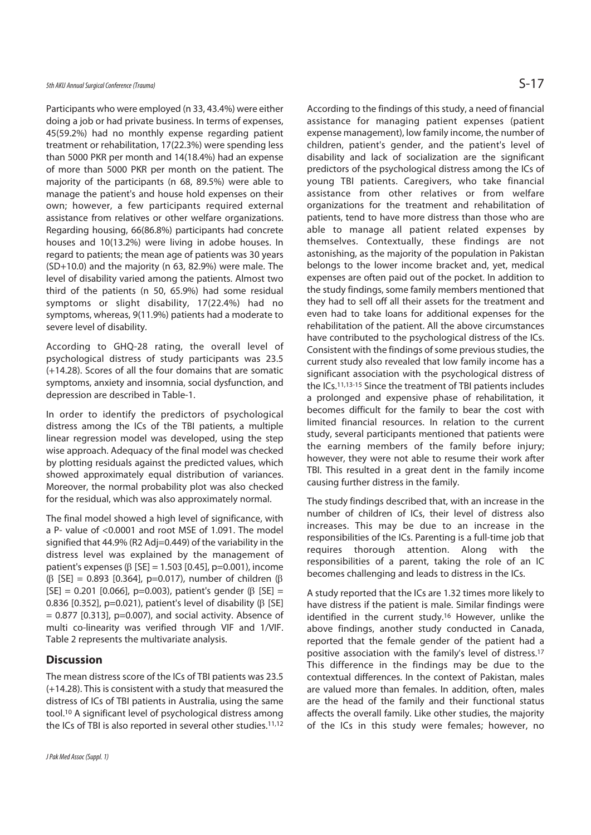Participants who were employed (n 33, 43.4%) were either doing a job or had private business. In terms of expenses, 45(59.2%) had no monthly expense regarding patient treatment or rehabilitation, 17(22.3%) were spending less than 5000 PKR per month and 14(18.4%) had an expense of more than 5000 PKR per month on the patient. The majority of the participants (n 68, 89.5%) were able to manage the patient's and house hold expenses on their own; however, a few participants required external assistance from relatives or other welfare organizations. Regarding housing, 66(86.8%) participants had concrete houses and 10(13.2%) were living in adobe houses. In regard to patients; the mean age of patients was 30 years (SD+10.0) and the majority (n 63, 82.9%) were male. The level of disability varied among the patients. Almost two third of the patients (n 50, 65.9%) had some residual symptoms or slight disability, 17(22.4%) had no symptoms, whereas, 9(11.9%) patients had a moderate to severe level of disability.

According to GHQ-28 rating, the overall level of psychological distress of study participants was 23.5 (+14.28). Scores of all the four domains that are somatic symptoms, anxiety and insomnia, social dysfunction, and depression are described in Table-1.

In order to identify the predictors of psychological distress among the ICs of the TBI patients, a multiple linear regression model was developed, using the step wise approach. Adequacy of the final model was checked by plotting residuals against the predicted values, which showed approximately equal distribution of variances. Moreover, the normal probability plot was also checked for the residual, which was also approximately normal.

The final model showed a high level of significance, with a P- value of <0.0001 and root MSE of 1.091. The model signified that 44.9% (R2 Adj=0.449) of the variability in the distress level was explained by the management of patient's expenses ( $β$  [SE] = 1.503 [0.45], p=0.001), income (β [SE] = 0.893 [0.364], p=0.017), number of children (β [SE] = 0.201 [0.066], p=0.003), patient's gender (β [SE] = 0.836 [0.352], p=0.021), patient's level of disability (β [SE]  $= 0.877$  [0.313], p=0.007), and social activity. Absence of multi co-linearity was verified through VIF and 1/VIF. Table 2 represents the multivariate analysis.

#### **Discussion**

The mean distress score of the ICs of TBI patients was 23.5 (+14.28). This is consistent with a study that measured the distress of ICs of TBI patients in Australia, using the same tool.10 A significant level of psychological distress among the ICs of TBI is also reported in several other studies.<sup>11,12</sup> According to the findings of this study, a need of financial assistance for managing patient expenses (patient expense management), low family income, the number of children, patient's gender, and the patient's level of disability and lack of socialization are the significant predictors of the psychological distress among the ICs of young TBI patients. Caregivers, who take financial assistance from other relatives or from welfare organizations for the treatment and rehabilitation of patients, tend to have more distress than those who are able to manage all patient related expenses by themselves. Contextually, these findings are not astonishing, as the majority of the population in Pakistan belongs to the lower income bracket and, yet, medical expenses are often paid out of the pocket. In addition to the study findings, some family members mentioned that they had to sell off all their assets for the treatment and even had to take loans for additional expenses for the rehabilitation of the patient. All the above circumstances have contributed to the psychological distress of the ICs. Consistent with the findings of some previous studies, the current study also revealed that low family income has a significant association with the psychological distress of the ICs.11,13-15 Since the treatment of TBI patients includes a prolonged and expensive phase of rehabilitation, it becomes difficult for the family to bear the cost with limited financial resources. In relation to the current study, several participants mentioned that patients were the earning members of the family before injury; however, they were not able to resume their work after TBI. This resulted in a great dent in the family income causing further distress in the family.

The study findings described that, with an increase in the number of children of ICs, their level of distress also increases. This may be due to an increase in the responsibilities of the ICs. Parenting is a full-time job that requires thorough attention. Along with the responsibilities of a parent, taking the role of an IC becomes challenging and leads to distress in the ICs.

A study reported that the ICs are 1.32 times more likely to have distress if the patient is male. Similar findings were identified in the current study.16 However, unlike the above findings, another study conducted in Canada, reported that the female gender of the patient had a positive association with the family's level of distress.17 This difference in the findings may be due to the contextual differences. In the context of Pakistan, males are valued more than females. In addition, often, males are the head of the family and their functional status affects the overall family. Like other studies, the majority of the ICs in this study were females; however, no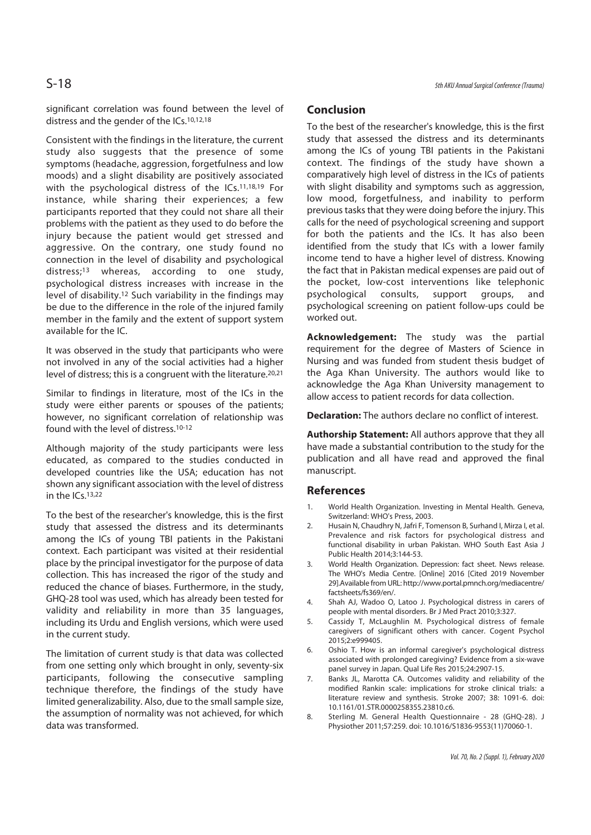significant correlation was found between the level of distress and the gender of the ICs.10,12,18

Consistent with the findings in the literature, the current study also suggests that the presence of some symptoms (headache, aggression, forgetfulness and low moods) and a slight disability are positively associated with the psychological distress of the ICs.11,18,19 For instance, while sharing their experiences; a few participants reported that they could not share all their problems with the patient as they used to do before the injury because the patient would get stressed and aggressive. On the contrary, one study found no connection in the level of disability and psychological distress;<sup>13</sup> whereas, according to one study, psychological distress increases with increase in the level of disability.12 Such variability in the findings may be due to the difference in the role of the injured family member in the family and the extent of support system available for the IC.

It was observed in the study that participants who were not involved in any of the social activities had a higher level of distress; this is a congruent with the literature.20,21

Similar to findings in literature, most of the ICs in the study were either parents or spouses of the patients; however, no significant correlation of relationship was found with the level of distress.10-12

Although majority of the study participants were less educated, as compared to the studies conducted in developed countries like the USA; education has not shown any significant association with the level of distress in the ICs.13,22

To the best of the researcher's knowledge, this is the first study that assessed the distress and its determinants among the ICs of young TBI patients in the Pakistani context. Each participant was visited at their residential place by the principal investigator for the purpose of data collection. This has increased the rigor of the study and reduced the chance of biases. Furthermore, in the study, GHQ-28 tool was used, which has already been tested for validity and reliability in more than 35 languages, including its Urdu and English versions, which were used in the current study.

The limitation of current study is that data was collected from one setting only which brought in only, seventy-six participants, following the consecutive sampling technique therefore, the findings of the study have limited generalizability. Also, due to the small sample size, the assumption of normality was not achieved, for which data was transformed.

# **Conclusion**

To the best of the researcher's knowledge, this is the first study that assessed the distress and its determinants among the ICs of young TBI patients in the Pakistani context. The findings of the study have shown a comparatively high level of distress in the ICs of patients with slight disability and symptoms such as aggression, low mood, forgetfulness, and inability to perform previous tasks that they were doing before the injury. This calls for the need of psychological screening and support for both the patients and the ICs. It has also been identified from the study that ICs with a lower family income tend to have a higher level of distress. Knowing the fact that in Pakistan medical expenses are paid out of the pocket, low-cost interventions like telephonic psychological consults, support groups, and psychological screening on patient follow-ups could be worked out.

**Acknowledgement:** The study was the partial requirement for the degree of Masters of Science in Nursing and was funded from student thesis budget of the Aga Khan University. The authors would like to acknowledge the Aga Khan University management to allow access to patient records for data collection.

**Declaration:** The authors declare no conflict of interest.

**Authorship Statement:** All authors approve that they all have made a substantial contribution to the study for the publication and all have read and approved the final manuscript.

### **References**

- World Health Organization. Investing in Mental Health. Geneva, Switzerland: WHO's Press, 2003.
- 2. Husain N, Chaudhry N, Jafri F, Tomenson B, Surhand I, Mirza I, et al. Prevalence and risk factors for psychological distress and functional disability in urban Pakistan. WHO South East Asia J Public Health 2014;3:144-53.
- 3. World Health Organization. Depression: fact sheet. News release. The WHO's Media Centre. [Online] 2016 [Cited 2019 November 29].Available from URL: http://www.portal.pmnch.org/mediacentre/ factsheets/fs369/en/.
- 4. Shah AJ, Wadoo O, Latoo J. Psychological distress in carers of people with mental disorders. Br J Med Pract 2010;3:327.
- 5. Cassidy T, McLaughlin M. Psychological distress of female caregivers of significant others with cancer. Cogent Psychol 2015;2:e999405.
- 6. Oshio T. How is an informal caregiver's psychological distress associated with prolonged caregiving? Evidence from a six-wave panel survey in Japan. Qual Life Res 2015;24:2907-15.
- 7. Banks JL, Marotta CA. Outcomes validity and reliability of the modified Rankin scale: implications for stroke clinical trials: a literature review and synthesis. Stroke 2007; 38: 1091-6. doi: 10.1161/01.STR.0000258355.23810.c6.
- 8. Sterling M. General Health Questionnaire 28 (GHQ-28). J Physiother 2011;57:259. doi: 10.1016/S1836-9553(11)70060-1.